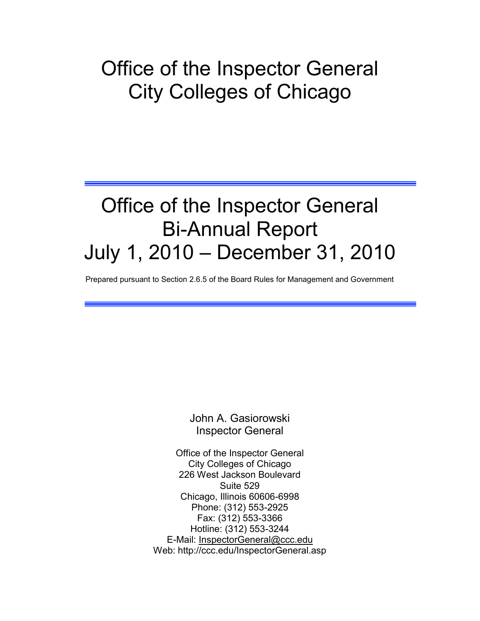# Office of the Inspector General City Colleges of Chicago

# Office of the Inspector General Bi-Annual Report July 1, 2010 - December 31, 2010

Prepared pursuant to Section 2.6.5 of the Board Rules for Management and Government

John A. Gasiorowski Inspector General

Office of the Inspector General City Colleges of Chicago 226 West Jackson Boulevard Suite 529 Chicago, Illinois 60606-6998 Phone: (312) 553-2925 Fax: (312) 553-3366 Hotline: (312) 553-3244 E-Mail: [InspectorGeneral@ccc.edu](mailto:InspectorGeneral@ccc.edu) Web: http://ccc.edu/InspectorGeneral.asp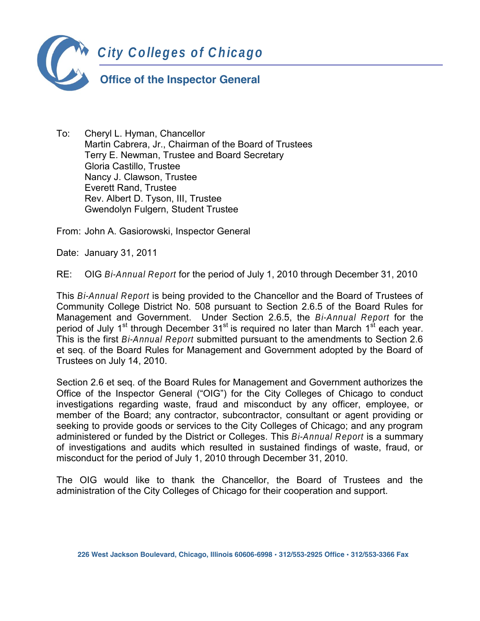

To: Cheryl L. Hyman, Chancellor Martin Cabrera, Jr., Chairman of the Board of Trustees Terry E. Newman, Trustee and Board Secretary Gloria Castillo, Trustee Nancy J. Clawson, Trustee Everett Rand, Trustee Rev. Albert D. Tyson, III, Trustee Gwendolyn Fulgern, Student Trustee

From: John A. Gasiorowski, Inspector General

Date: January 31, 2011

RE: OIG Bi-Annual Report for the period of July 1, 2010 through December 31, 2010

This Bi-Annual Report is being provided to the Chancellor and the Board of Trustees of Community College District No. 508 pursuant to Section 2.6.5 of the Board Rules for Management and Government. Under Section 2.6.5, the Bi-Annual Report for the period of July 1<sup>st</sup> through December 31<sup>st</sup> is required no later than March 1<sup>st</sup> each year. This is the first Bi-Annual Report submitted pursuant to the amendments to Section 2.6 et seq. of the Board Rules for Management and Government adopted by the Board of Trustees on July 14, 2010.

Section 2.6 et seq. of the Board Rules for Management and Government authorizes the Office of the Inspector General ("OIG") for the City Colleges of Chicago to conduct investigations regarding waste, fraud and misconduct by any officer, employee, or member of the Board; any contractor, subcontractor, consultant or agent providing or seeking to provide goods or services to the City Colleges of Chicago; and any program administered or funded by the District or Colleges. This Bi-Annual Report is a summary of investigations and audits which resulted in sustained findings of waste, fraud, or misconduct for the period of July 1, 2010 through December 31, 2010.

The OIG would like to thank the Chancellor, the Board of Trustees and the administration of the City Colleges of Chicago for their cooperation and support.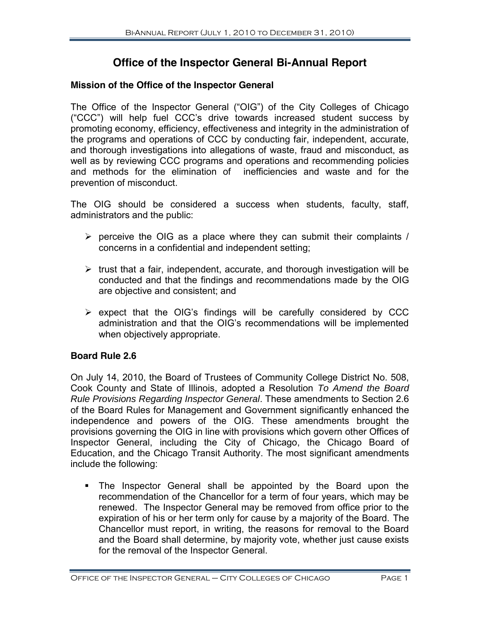## **Office of the Inspector General Bi-Annual Report**

#### Mission of the Office of the Inspector General

The Office of the Inspector General ("OIG") of the City Colleges of Chicago ("CCC") will help fuel CCC's drive towards increased student success by promoting economy, efficiency, effectiveness and integrity in the administration of the programs and operations of CCC by conducting fair, independent, accurate, and thorough investigations into allegations of waste, fraud and misconduct, as well as by reviewing CCC programs and operations and recommending policies and methods for the elimination of inefficiencies and waste and for the prevention of misconduct.

The OIG should be considered a success when students, faculty, staff, administrators and the public:

- $\triangleright$  perceive the OIG as a place where they can submit their complaints / concerns in a confidential and independent setting;
- $\triangleright$  trust that a fair, independent, accurate, and thorough investigation will be conducted and that the findings and recommendations made by the OIG are objective and consistent; and
- > expect that the OIG's findings will be carefully considered by CCC administration and that the OIG's recommendations will be implemented when objectively appropriate.

#### **Board Rule 2.6**

On July 14, 2010, the Board of Trustees of Community College District No. 508, Cook County and State of Illinois, adopted a Resolution To Amend the Board Rule Provisions Regarding Inspector General. These amendments to Section 2.6 of the Board Rules for Management and Government significantly enhanced the independence and powers of the OIG. These amendments brought the provisions governing the OIG in line with provisions which govern other Offices of Inspector General, including the City of Chicago, the Chicago Board of Education, and the Chicago Transit Authority. The most significant amendments include the following:

. The Inspector General shall be appointed by the Board upon the recommendation of the Chancellor for a term of four years, which may be renewed. The Inspector General may be removed from office prior to the expiration of his or her term only for cause by a majority of the Board. The Chancellor must report, in writing, the reasons for removal to the Board and the Board shall determine, by majority vote, whether just cause exists for the removal of the Inspector General.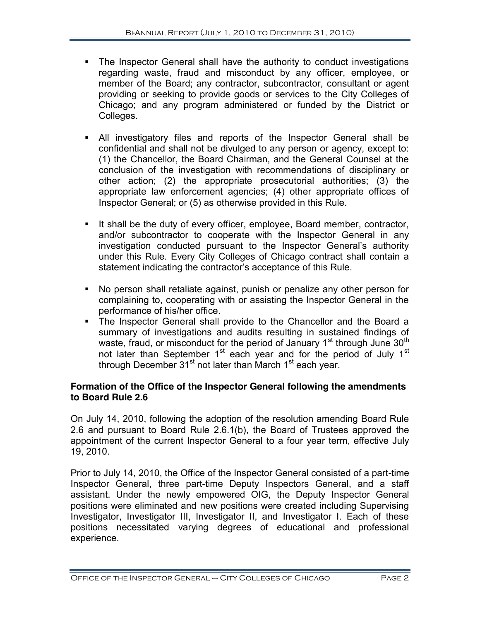- The Inspector General shall have the authority to conduct investigations regarding waste, fraud and misconduct by any officer, employee, or member of the Board; any contractor, subcontractor, consultant or agent providing or seeking to provide goods or services to the City Colleges of Chicago; and any program administered or funded by the District or Colleges.
- " All investigatory files and reports of the Inspector General shall be confidential and shall not be divulged to any person or agency, except to: (1) the Chancellor, the Board Chairman, and the General Counsel at the conclusion of the investigation with recommendations of disciplinary or other action; (2) the appropriate prosecutorial authorities; (3) the appropriate law enforcement agencies; (4) other appropriate offices of Inspector General; or (5) as otherwise provided in this Rule.
- " It shall be the duty of every officer, employee, Board member, contractor, and/or subcontractor to cooperate with the Inspector General in any investigation conducted pursuant to the Inspector General's authority under this Rule. Every City Colleges of Chicago contract shall contain a statement indicating the contractor's acceptance of this Rule.
- " No person shall retaliate against, punish or penalize any other person for complaining to, cooperating with or assisting the Inspector General in the performance of his/her office.
- The Inspector General shall provide to the Chancellor and the Board a summary of investigations and audits resulting in sustained findings of waste, fraud, or misconduct for the period of January 1<sup>st</sup> through June 30<sup>th</sup> not later than September 1<sup>st</sup> each year and for the period of July 1<sup>st</sup> through December 31<sup>st</sup> not later than March 1<sup>st</sup> each year.

## **Formation of the Office of the Inspector General following the amendments to Board Rule 2.6**

On July 14, 2010, following the adoption of the resolution amending Board Rule 2.6 and pursuant to Board Rule 2.6.1(b), the Board of Trustees approved the appointment of the current Inspector General to a four year term, effective July 19, 2010.

Prior to July 14, 2010, the Office of the Inspector General consisted of a part-time Inspector General, three part-time Deputy Inspectors General, and a staff assistant. Under the newly empowered OIG, the Deputy Inspector General positions were eliminated and new positions were created including Supervising Investigator, Investigator III, Investigator II, and Investigator I. Each of these positions necessitated varying degrees of educational and professional experience.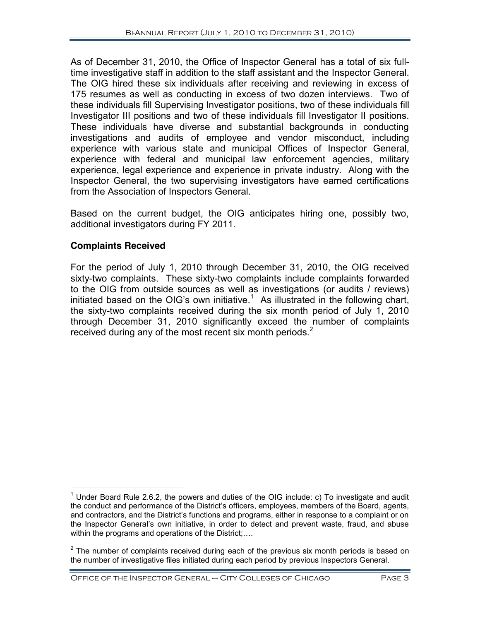As of December 31, 2010, the Office of Inspector General has a total of six fulltime investigative staff in addition to the staff assistant and the Inspector General. The OIG hired these six individuals after receiving and reviewing in excess of 175 resumes as well as conducting in excess of two dozen interviews. Two of these individuals fill Supervising Investigator positions, two of these individuals fill Investigator III positions and two of these individuals fill Investigator II positions. These individuals have diverse and substantial backgrounds in conducting investigations and audits of employee and vendor misconduct, including experience with various state and municipal Offices of Inspector General, experience with federal and municipal law enforcement agencies, military experience, legal experience and experience in private industry. Along with the Inspector General, the two supervising investigators have earned certifications from the Association of Inspectors General.

Based on the current budget, the OIG anticipates hiring one, possibly two, additional investigators during FY 2011.

## **Complaints Received**

For the period of July 1, 2010 through December 31, 2010, the OIG received sixty-two complaints. These sixty-two complaints include complaints forwarded to the OIG from outside sources as well as investigations (or audits / reviews) initiated based on the OIG's own initiative.<sup>1</sup> As illustrated in the following chart, the sixty-two complaints received during the six month period of July 1, 2010 through December 31, 2010 significantly exceed the number of complaints received during any of the most recent six month periods. $2^2$ 

 $<sup>1</sup>$  Under Board Rule 2.6.2, the powers and duties of the OIG include: c) To investigate and audit</sup> the conduct and performance of the District's officers, employees, members of the Board, agents, and contractors, and the District's functions and programs, either in response to a complaint or on the Inspector General's own initiative, in order to detect and prevent waste, fraud, and abuse within the programs and operations of the District;....

 $2$  The number of complaints received during each of the previous six month periods is based on the number of investigative files initiated during each period by previous Inspectors General.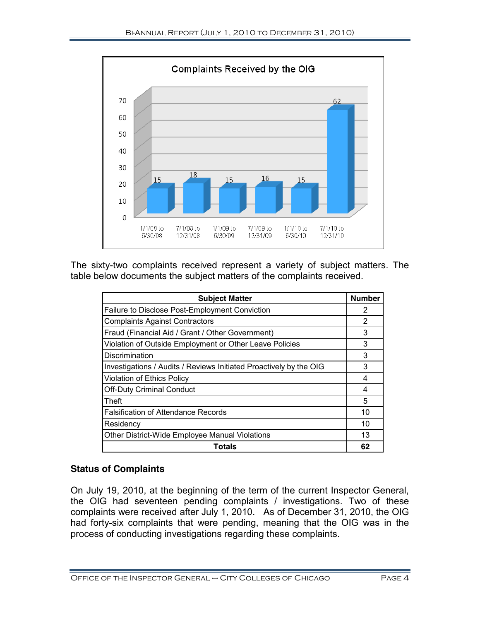

The sixty-two complaints received represent a variety of subject matters. The table below documents the subject matters of the complaints received.

| <b>Subject Matter</b>                                              | <b>Number</b> |
|--------------------------------------------------------------------|---------------|
| Failure to Disclose Post-Employment Conviction                     | 2             |
| <b>Complaints Against Contractors</b>                              | 2             |
| Fraud (Financial Aid / Grant / Other Government)                   | 3             |
| Violation of Outside Employment or Other Leave Policies            | 3             |
| Discrimination                                                     | 3             |
| Investigations / Audits / Reviews Initiated Proactively by the OIG | 3             |
| Violation of Ethics Policy                                         | 4             |
| <b>Off-Duty Criminal Conduct</b>                                   | 4             |
| Theft                                                              | 5             |
| <b>Falsification of Attendance Records</b>                         | 10            |
| Residency                                                          | 10            |
| Other District-Wide Employee Manual Violations                     | 13            |
| Totals                                                             | 62            |

## **Status of Complaints**

On July 19, 2010, at the beginning of the term of the current Inspector General, the OIG had seventeen pending complaints / investigations. Two of these complaints were received after July 1, 2010. As of December 31, 2010, the OIG had forty-six complaints that were pending, meaning that the OIG was in the process of conducting investigations regarding these complaints.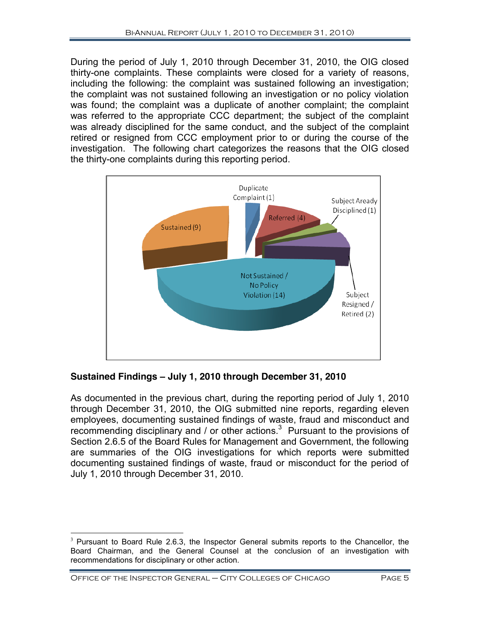During the period of July 1, 2010 through December 31, 2010, the OIG closed thirty-one complaints. These complaints were closed for a variety of reasons, including the following: the complaint was sustained following an investigation; the complaint was not sustained following an investigation or no policy violation was found; the complaint was a duplicate of another complaint; the complaint was referred to the appropriate CCC department; the subject of the complaint was already disciplined for the same conduct, and the subject of the complaint retired or resigned from CCC employment prior to or during the course of the investigation. The following chart categorizes the reasons that the OIG closed the thirty-one complaints during this reporting period.



**Sustained Findings ! July 1, 2010 through December 31, 2010**

As documented in the previous chart, during the reporting period of July 1, 2010 through December 31, 2010, the OIG submitted nine reports, regarding eleven employees, documenting sustained findings of waste, fraud and misconduct and recommending disciplinary and / or other actions.<sup>3</sup> Pursuant to the provisions of Section 2.6.5 of the Board Rules for Management and Government, the following are summaries of the OIG investigations for which reports were submitted documenting sustained findings of waste, fraud or misconduct for the period of July 1, 2010 through December 31, 2010.

 $3$  Pursuant to Board Rule 2.6.3, the Inspector General submits reports to the Chancellor, the Board Chairman, and the General Counsel at the conclusion of an investigation with recommendations for disciplinary or other action.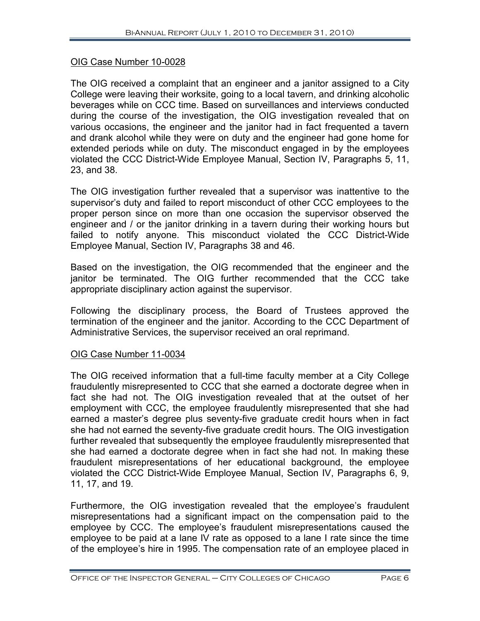#### OIG Case Number 10-0028

The OIG received a complaint that an engineer and a janitor assigned to a City College were leaving their worksite, going to a local tavern, and drinking alcoholic beverages while on CCC time. Based on surveillances and interviews conducted during the course of the investigation, the OIG investigation revealed that on various occasions, the engineer and the janitor had in fact frequented a tavern and drank alcohol while they were on duty and the engineer had gone home for extended periods while on duty. The misconduct engaged in by the employees violated the CCC District-Wide Employee Manual, Section IV, Paragraphs 5, 11, 23, and 38.

The OIG investigation further revealed that a supervisor was inattentive to the supervisor's duty and failed to report misconduct of other CCC employees to the proper person since on more than one occasion the supervisor observed the engineer and / or the janitor drinking in a tavern during their working hours but failed to notify anyone. This misconduct violated the CCC District-Wide Employee Manual, Section IV, Paragraphs 38 and 46.

Based on the investigation, the OIG recommended that the engineer and the janitor be terminated. The OIG further recommended that the CCC take appropriate disciplinary action against the supervisor.

Following the disciplinary process, the Board of Trustees approved the termination of the engineer and the janitor. According to the CCC Department of Administrative Services, the supervisor received an oral reprimand.

#### OIG Case Number 11-0034

The OIG received information that a full-time faculty member at a City College fraudulently misrepresented to CCC that she earned a doctorate degree when in fact she had not. The OIG investigation revealed that at the outset of her employment with CCC, the employee fraudulently misrepresented that she had earned a master's degree plus seventy-five graduate credit hours when in fact she had not earned the seventy-five graduate credit hours. The OIG investigation further revealed that subsequently the employee fraudulently misrepresented that she had earned a doctorate degree when in fact she had not. In making these fraudulent misrepresentations of her educational background, the employee violated the CCC District-Wide Employee Manual, Section IV, Paragraphs 6, 9, 11, 17, and 19.

Furthermore, the OIG investigation revealed that the employee's fraudulent misrepresentations had a significant impact on the compensation paid to the employee by CCC. The employee's fraudulent misrepresentations caused the employee to be paid at a lane IV rate as opposed to a lane I rate since the time of the employee's hire in 1995. The compensation rate of an employee placed in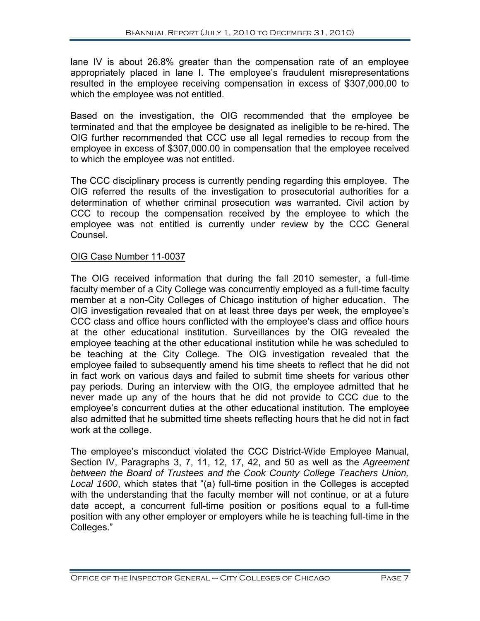lane IV is about 26.8% greater than the compensation rate of an employee appropriately placed in lane I. The employee's fraudulent misrepresentations resulted in the employee receiving compensation in excess of \$307,000.00 to which the employee was not entitled.

Based on the investigation, the OIG recommended that the employee be terminated and that the employee be designated as ineligible to be re-hired. The OIG further recommended that CCC use all legal remedies to recoup from the employee in excess of \$307,000.00 in compensation that the employee received to which the employee was not entitled.

The CCC disciplinary process is currently pending regarding this employee. The OIG referred the results of the investigation to prosecutorial authorities for a determination of whether criminal prosecution was warranted. Civil action by CCC to recoup the compensation received by the employee to which the employee was not entitled is currently under review by the CCC General Counsel.

## OIG Case Number 11-0037

The OIG received information that during the fall 2010 semester, a full-time faculty member of a City College was concurrently employed as a full-time faculty member at a non-City Colleges of Chicago institution of higher education. The OIG investigation revealed that on at least three days per week, the employee's CCC class and office hours conflicted with the employee's class and office hours at the other educational institution. Surveillances by the OIG revealed the employee teaching at the other educational institution while he was scheduled to be teaching at the City College. The OIG investigation revealed that the employee failed to subsequently amend his time sheets to reflect that he did not in fact work on various days and failed to submit time sheets for various other pay periods. During an interview with the OIG, the employee admitted that he never made up any of the hours that he did not provide to CCC due to the employee's concurrent duties at the other educational institution. The employee also admitted that he submitted time sheets reflecting hours that he did not in fact work at the college.

The employee's misconduct violated the CCC District-Wide Employee Manual, Section IV, Paragraphs 3, 7, 11, 12, 17, 42, and 50 as well as the Agreement between the Board of Trustees and the Cook County College Teachers Union, Local 1600, which states that "(a) full-time position in the Colleges is accepted with the understanding that the faculty member will not continue, or at a future date accept, a concurrent full-time position or positions equal to a full-time position with any other employer or employers while he is teaching full-time in the Colleges."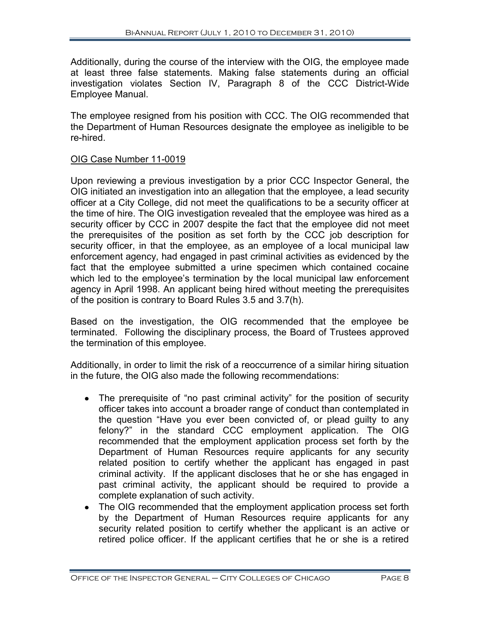Additionally, during the course of the interview with the OIG, the employee made at least three false statements. Making false statements during an official investigation violates Section IV, Paragraph 8 of the CCC District-Wide Employee Manual.

The employee resigned from his position with CCC. The OIG recommended that the Department of Human Resources designate the employee as ineligible to be re-hired.

#### OIG Case Number 11-0019

Upon reviewing a previous investigation by a prior CCC Inspector General, the OIG initiated an investigation into an allegation that the employee, a lead security officer at a City College, did not meet the qualifications to be a security officer at the time of hire. The OIG investigation revealed that the employee was hired as a security officer by CCC in 2007 despite the fact that the employee did not meet the prerequisites of the position as set forth by the CCC job description for security officer, in that the employee, as an employee of a local municipal law enforcement agency, had engaged in past criminal activities as evidenced by the fact that the employee submitted a urine specimen which contained cocaine which led to the employee's termination by the local municipal law enforcement agency in April 1998. An applicant being hired without meeting the prerequisites of the position is contrary to Board Rules 3.5 and 3.7(h).

Based on the investigation, the OIG recommended that the employee be terminated. Following the disciplinary process, the Board of Trustees approved the termination of this employee.

Additionally, in order to limit the risk of a reoccurrence of a similar hiring situation in the future, the OIG also made the following recommendations:

- . The prerequisite of "no past criminal activity" for the position of security officer takes into account a broader range of conduct than contemplated in the question "Have you ever been convicted of, or plead quilty to any felony?" in the standard CCC employment application. The OIG recommended that the employment application process set forth by the Department of Human Resources require applicants for any security related position to certify whether the applicant has engaged in past criminal activity. If the applicant discloses that he or she has engaged in past criminal activity, the applicant should be required to provide a complete explanation of such activity.
- The OIG recommended that the employment application process set forth by the Department of Human Resources require applicants for any security related position to certify whether the applicant is an active or retired police officer. If the applicant certifies that he or she is a retired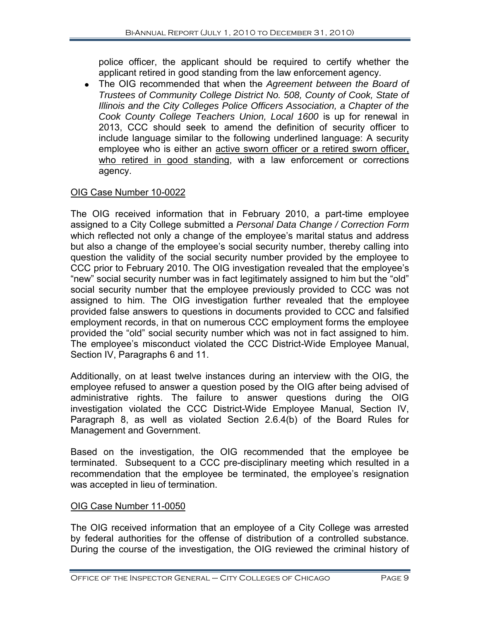police officer, the applicant should be required to certify whether the applicant retired in good standing from the law enforcement agency.

• The OIG recommended that when the Agreement between the Board of Trustees of Community College District No. 508, County of Cook, State of Illinois and the City Colleges Police Officers Association, a Chapter of the Cook County College Teachers Union, Local 1600 is up for renewal in 2013. CCC should seek to amend the definition of security officer to include language similar to the following underlined language: A security employee who is either an active sworn officer or a retired sworn officer, who retired in good standing, with a law enforcement or corrections agency.

## OIG Case Number 10-0022

The OIG received information that in February 2010, a part-time employee assigned to a City College submitted a Personal Data Change / Correction Form which reflected not only a change of the employee's marital status and address but also a change of the employee's social security number, thereby calling into question the validity of the social security number provided by the employee to CCC prior to February 2010. The OIG investigation revealed that the employee's "new" social security number was in fact legitimately assigned to him but the "old" social security number that the employee previously provided to CCC was not assigned to him. The OIG investigation further revealed that the employee provided false answers to questions in documents provided to CCC and falsified employment records, in that on numerous CCC employment forms the employee provided the "old" social security number which was not in fact assigned to him. The employee's misconduct violated the CCC District-Wide Employee Manual, Section IV, Paragraphs 6 and 11.

Additionally, on at least twelve instances during an interview with the OIG, the employee refused to answer a question posed by the OIG after being advised of administrative rights. The failure to answer questions during the OIG investigation violated the CCC District-Wide Employee Manual, Section IV, Paragraph 8, as well as violated Section 2.6.4(b) of the Board Rules for Management and Government.

Based on the investigation, the OIG recommended that the employee be terminated. Subsequent to a CCC pre-disciplinary meeting which resulted in a recommendation that the employee be terminated, the employee's resignation was accepted in lieu of termination.

## OIG Case Number 11-0050

The OIG received information that an employee of a City College was arrested by federal authorities for the offense of distribution of a controlled substance. During the course of the investigation, the OIG reviewed the criminal history of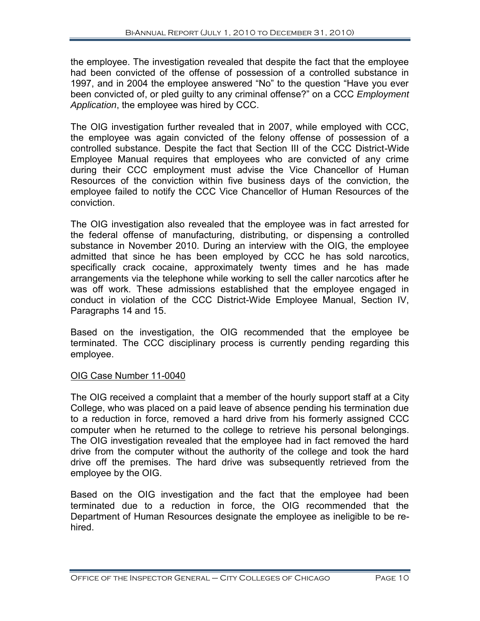the employee. The investigation revealed that despite the fact that the employee had been convicted of the offense of possession of a controlled substance in 1997, and in 2004 the employee answered "No" to the question "Have you ever been convicted of, or pled quilty to any criminal offense?" on a CCC Employment Application, the employee was hired by CCC.

The OIG investigation further revealed that in 2007, while employed with CCC, the employee was again convicted of the felony offense of possession of a controlled substance. Despite the fact that Section III of the CCC District-Wide Employee Manual requires that employees who are convicted of any crime during their CCC employment must advise the Vice Chancellor of Human Resources of the conviction within five business days of the conviction, the employee failed to notify the CCC Vice Chancellor of Human Resources of the conviction.

The OIG investigation also revealed that the employee was in fact arrested for the federal offense of manufacturing, distributing, or dispensing a controlled substance in November 2010. During an interview with the OIG, the employee admitted that since he has been employed by CCC he has sold narcotics, specifically crack cocaine, approximately twenty times and he has made arrangements via the telephone while working to sell the caller narcotics after he was off work. These admissions established that the employee engaged in conduct in violation of the CCC District-Wide Employee Manual, Section IV, Paragraphs 14 and 15.

Based on the investigation, the OIG recommended that the employee be terminated. The CCC disciplinary process is currently pending regarding this employee.

## OIG Case Number 11-0040

The OIG received a complaint that a member of the hourly support staff at a City College, who was placed on a paid leave of absence pending his termination due to a reduction in force, removed a hard drive from his formerly assigned CCC computer when he returned to the college to retrieve his personal belongings. The OIG investigation revealed that the employee had in fact removed the hard drive from the computer without the authority of the college and took the hard drive off the premises. The hard drive was subsequently retrieved from the employee by the OIG.

Based on the OIG investigation and the fact that the employee had been terminated due to a reduction in force, the OIG recommended that the Department of Human Resources designate the employee as ineligible to be rehired.